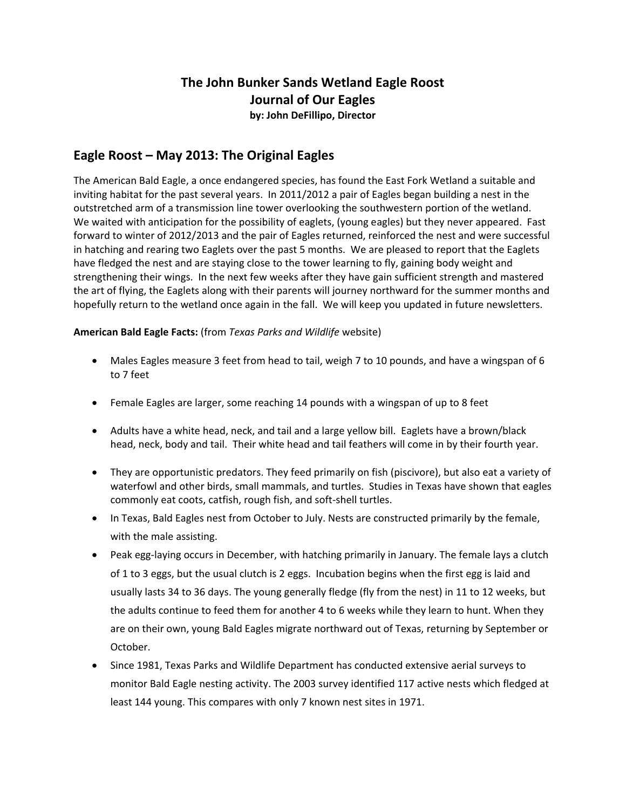# **The John Bunker Sands Wetland Eagle Roost Journal of Our Eagles**

**by: John DeFillipo, Director**

# **Eagle Roost – May 2013: The Original Eagles**

The American Bald Eagle, a once endangered species, has found the East Fork Wetland a suitable and inviting habitat for the past several years. In 2011/2012 a pair of Eagles began building a nest in the outstretched arm of a transmission line tower overlooking the southwestern portion of the wetland. We waited with anticipation for the possibility of eaglets, (young eagles) but they never appeared. Fast forward to winter of 2012/2013 and the pair of Eagles returned, reinforced the nest and were successful in hatching and rearing two Eaglets over the past 5 months. We are pleased to report that the Eaglets have fledged the nest and are staying close to the tower learning to fly, gaining body weight and strengthening their wings. In the next few weeks after they have gain sufficient strength and mastered the art of flying, the Eaglets along with their parents will journey northward for the summer months and hopefully return to the wetland once again in the fall. We will keep you updated in future newsletters.

#### **American Bald Eagle Facts:** (from *Texas Parks and Wildlife* website)

- Males Eagles measure 3 feet from head to tail, weigh 7 to 10 pounds, and have a wingspan of 6 to 7 feet
- Female Eagles are larger, some reaching 14 pounds with a wingspan of up to 8 feet
- Adults have a white head, neck, and tail and a large yellow bill. Eaglets have a brown/black head, neck, body and tail. Their white head and tail feathers will come in by their fourth year.
- They are opportunistic predators. They feed primarily on fish (piscivore), but also eat a variety of waterfowl and other birds, small mammals, and turtles. Studies in Texas have shown that eagles commonly eat coots, catfish, rough fish, and soft-shell turtles.
- In Texas, Bald Eagles nest from October to July. Nests are constructed primarily by the female, with the male assisting.
- Peak egg-laying occurs in December, with hatching primarily in January. The female lays a clutch of 1 to 3 eggs, but the usual clutch is 2 eggs. Incubation begins when the first egg is laid and usually lasts 34 to 36 days. The young generally fledge (fly from the nest) in 11 to 12 weeks, but the adults continue to feed them for another 4 to 6 weeks while they learn to hunt. When they are on their own, young Bald Eagles migrate northward out of Texas, returning by September or October.
- Since 1981, Texas Parks and Wildlife Department has conducted extensive aerial surveys to monitor Bald Eagle nesting activity. The 2003 survey identified 117 active nests which fledged at least 144 young. This compares with only 7 known nest sites in 1971.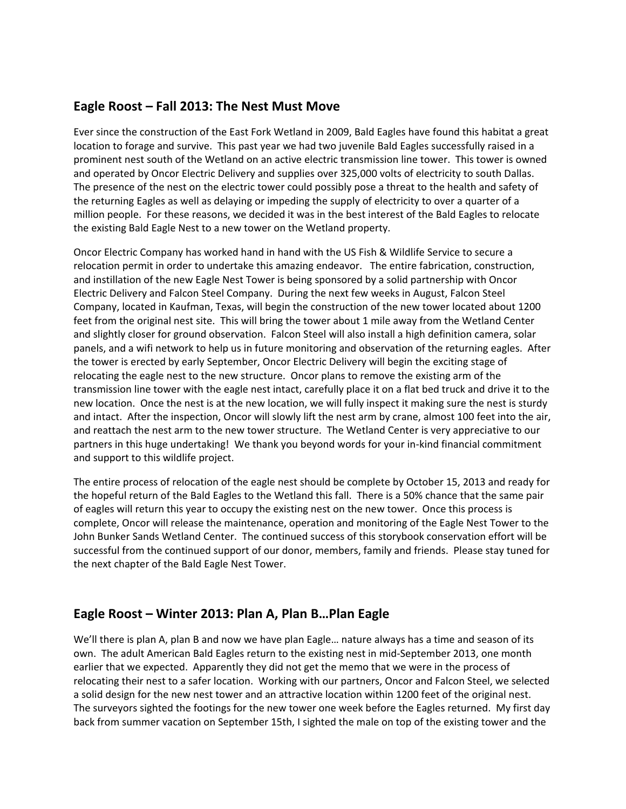### **Eagle Roost – Fall 2013: The Nest Must Move**

Ever since the construction of the East Fork Wetland in 2009, Bald Eagles have found this habitat a great location to forage and survive. This past year we had two juvenile Bald Eagles successfully raised in a prominent nest south of the Wetland on an active electric transmission line tower. This tower is owned and operated by Oncor Electric Delivery and supplies over 325,000 volts of electricity to south Dallas. The presence of the nest on the electric tower could possibly pose a threat to the health and safety of the returning Eagles as well as delaying or impeding the supply of electricity to over a quarter of a million people. For these reasons, we decided it was in the best interest of the Bald Eagles to relocate the existing Bald Eagle Nest to a new tower on the Wetland property.

Oncor Electric Company has worked hand in hand with the US Fish & Wildlife Service to secure a relocation permit in order to undertake this amazing endeavor. The entire fabrication, construction, and instillation of the new Eagle Nest Tower is being sponsored by a solid partnership with Oncor Electric Delivery and Falcon Steel Company. During the next few weeks in August, Falcon Steel Company, located in Kaufman, Texas, will begin the construction of the new tower located about 1200 feet from the original nest site. This will bring the tower about 1 mile away from the Wetland Center and slightly closer for ground observation. Falcon Steel will also install a high definition camera, solar panels, and a wifi network to help us in future monitoring and observation of the returning eagles. After the tower is erected by early September, Oncor Electric Delivery will begin the exciting stage of relocating the eagle nest to the new structure. Oncor plans to remove the existing arm of the transmission line tower with the eagle nest intact, carefully place it on a flat bed truck and drive it to the new location. Once the nest is at the new location, we will fully inspect it making sure the nest is sturdy and intact. After the inspection, Oncor will slowly lift the nest arm by crane, almost 100 feet into the air, and reattach the nest arm to the new tower structure. The Wetland Center is very appreciative to our partners in this huge undertaking! We thank you beyond words for your in-kind financial commitment and support to this wildlife project.

The entire process of relocation of the eagle nest should be complete by October 15, 2013 and ready for the hopeful return of the Bald Eagles to the Wetland this fall. There is a 50% chance that the same pair of eagles will return this year to occupy the existing nest on the new tower. Once this process is complete, Oncor will release the maintenance, operation and monitoring of the Eagle Nest Tower to the John Bunker Sands Wetland Center. The continued success of this storybook conservation effort will be successful from the continued support of our donor, members, family and friends. Please stay tuned for the next chapter of the Bald Eagle Nest Tower.

### **Eagle Roost – Winter 2013: Plan A, Plan B…Plan Eagle**

We'll there is plan A, plan B and now we have plan Eagle… nature always has a time and season of its own. The adult American Bald Eagles return to the existing nest in mid-September 2013, one month earlier that we expected. Apparently they did not get the memo that we were in the process of relocating their nest to a safer location. Working with our partners, Oncor and Falcon Steel, we selected a solid design for the new nest tower and an attractive location within 1200 feet of the original nest. The surveyors sighted the footings for the new tower one week before the Eagles returned. My first day back from summer vacation on September 15th, I sighted the male on top of the existing tower and the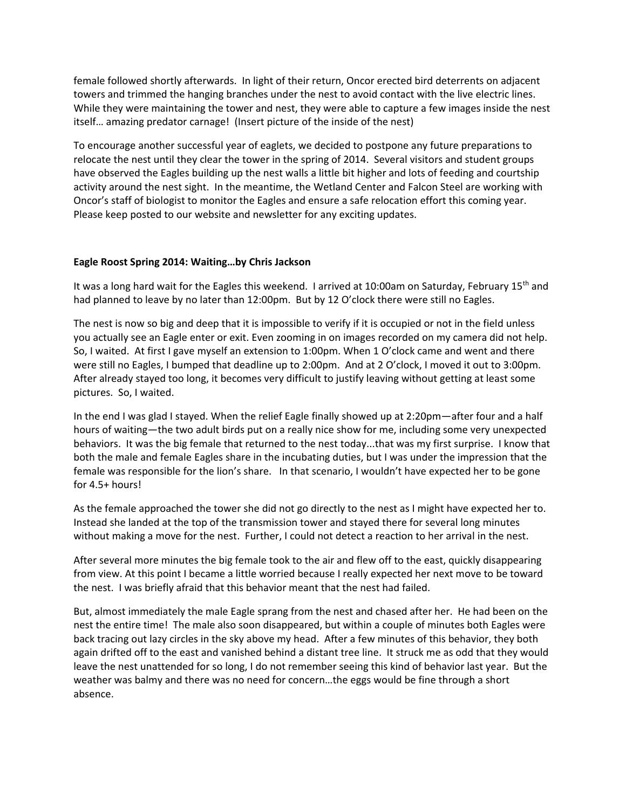female followed shortly afterwards. In light of their return, Oncor erected bird deterrents on adjacent towers and trimmed the hanging branches under the nest to avoid contact with the live electric lines. While they were maintaining the tower and nest, they were able to capture a few images inside the nest itself… amazing predator carnage! (Insert picture of the inside of the nest)

To encourage another successful year of eaglets, we decided to postpone any future preparations to relocate the nest until they clear the tower in the spring of 2014. Several visitors and student groups have observed the Eagles building up the nest walls a little bit higher and lots of feeding and courtship activity around the nest sight. In the meantime, the Wetland Center and Falcon Steel are working with Oncor's staff of biologist to monitor the Eagles and ensure a safe relocation effort this coming year. Please keep posted to our website and newsletter for any exciting updates.

#### **Eagle Roost Spring 2014: Waiting…by Chris Jackson**

It was a long hard wait for the Eagles this weekend. I arrived at 10:00am on Saturday, February 15<sup>th</sup> and had planned to leave by no later than 12:00pm. But by 12 O'clock there were still no Eagles.

The nest is now so big and deep that it is impossible to verify if it is occupied or not in the field unless you actually see an Eagle enter or exit. Even zooming in on images recorded on my camera did not help. So, I waited. At first I gave myself an extension to 1:00pm. When 1 O'clock came and went and there were still no Eagles, I bumped that deadline up to 2:00pm. And at 2 O'clock, I moved it out to 3:00pm. After already stayed too long, it becomes very difficult to justify leaving without getting at least some pictures. So, I waited.

In the end I was glad I stayed. When the relief Eagle finally showed up at 2:20pm—after four and a half hours of waiting—the two adult birds put on a really nice show for me, including some very unexpected behaviors. It was the big female that returned to the nest today...that was my first surprise. I know that both the male and female Eagles share in the incubating duties, but I was under the impression that the female was responsible for the lion's share. In that scenario, I wouldn't have expected her to be gone for 4.5+ hours!

As the female approached the tower she did not go directly to the nest as I might have expected her to. Instead she landed at the top of the transmission tower and stayed there for several long minutes without making a move for the nest. Further, I could not detect a reaction to her arrival in the nest.

After several more minutes the big female took to the air and flew off to the east, quickly disappearing from view. At this point I became a little worried because I really expected her next move to be toward the nest. I was briefly afraid that this behavior meant that the nest had failed.

But, almost immediately the male Eagle sprang from the nest and chased after her. He had been on the nest the entire time! The male also soon disappeared, but within a couple of minutes both Eagles were back tracing out lazy circles in the sky above my head. After a few minutes of this behavior, they both again drifted off to the east and vanished behind a distant tree line. It struck me as odd that they would leave the nest unattended for so long, I do not remember seeing this kind of behavior last year. But the weather was balmy and there was no need for concern…the eggs would be fine through a short absence.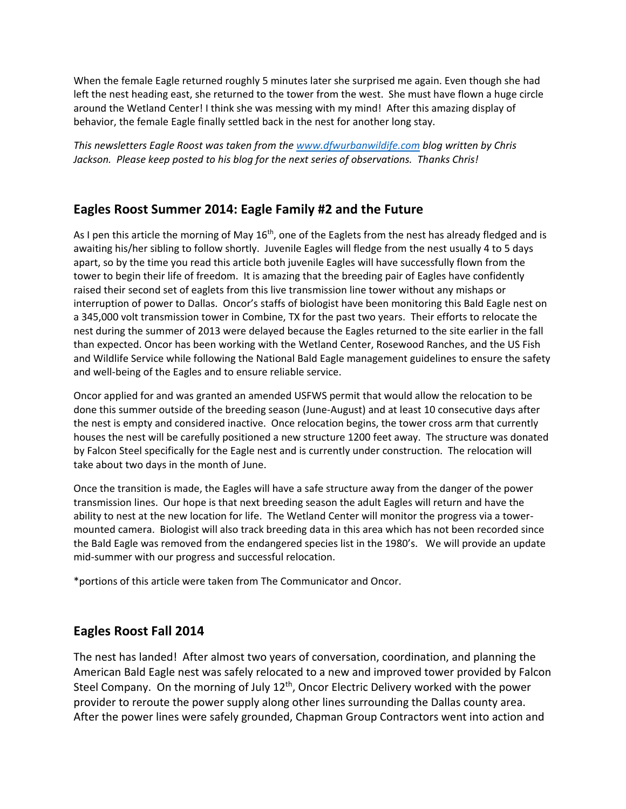When the female Eagle returned roughly 5 minutes later she surprised me again. Even though she had left the nest heading east, she returned to the tower from the west. She must have flown a huge circle around the Wetland Center! I think she was messing with my mind! After this amazing display of behavior, the female Eagle finally settled back in the nest for another long stay.

*This newsletters Eagle Roost was taken from the [www.dfwurbanwildife.com](http://www.dfwurbanwildife.com/) blog written by Chris Jackson. Please keep posted to his blog for the next series of observations. Thanks Chris!*

## **Eagles Roost Summer 2014: Eagle Family #2 and the Future**

As I pen this article the morning of May  $16<sup>th</sup>$ , one of the Eaglets from the nest has already fledged and is awaiting his/her sibling to follow shortly. Juvenile Eagles will fledge from the nest usually 4 to 5 days apart, so by the time you read this article both juvenile Eagles will have successfully flown from the tower to begin their life of freedom. It is amazing that the breeding pair of Eagles have confidently raised their second set of eaglets from this live transmission line tower without any mishaps or interruption of power to Dallas. Oncor's staffs of biologist have been monitoring this Bald Eagle nest on a 345,000 volt transmission tower in Combine, TX for the past two years. Their efforts to relocate the nest during the summer of 2013 were delayed because the Eagles returned to the site earlier in the fall than expected. Oncor has been working with the Wetland Center, Rosewood Ranches, and the US Fish and Wildlife Service while following the National Bald Eagle management guidelines to ensure the safety and well-being of the Eagles and to ensure reliable service.

Oncor applied for and was granted an amended USFWS permit that would allow the relocation to be done this summer outside of the breeding season (June-August) and at least 10 consecutive days after the nest is empty and considered inactive. Once relocation begins, the tower cross arm that currently houses the nest will be carefully positioned a new structure 1200 feet away. The structure was donated by Falcon Steel specifically for the Eagle nest and is currently under construction. The relocation will take about two days in the month of June.

Once the transition is made, the Eagles will have a safe structure away from the danger of the power transmission lines. Our hope is that next breeding season the adult Eagles will return and have the ability to nest at the new location for life. The Wetland Center will monitor the progress via a towermounted camera. Biologist will also track breeding data in this area which has not been recorded since the Bald Eagle was removed from the endangered species list in the 1980's. We will provide an update mid-summer with our progress and successful relocation.

\*portions of this article were taken from The Communicator and Oncor.

## **Eagles Roost Fall 2014**

The nest has landed! After almost two years of conversation, coordination, and planning the American Bald Eagle nest was safely relocated to a new and improved tower provided by Falcon Steel Company. On the morning of July 12<sup>th</sup>, Oncor Electric Delivery worked with the power provider to reroute the power supply along other lines surrounding the Dallas county area. After the power lines were safely grounded, Chapman Group Contractors went into action and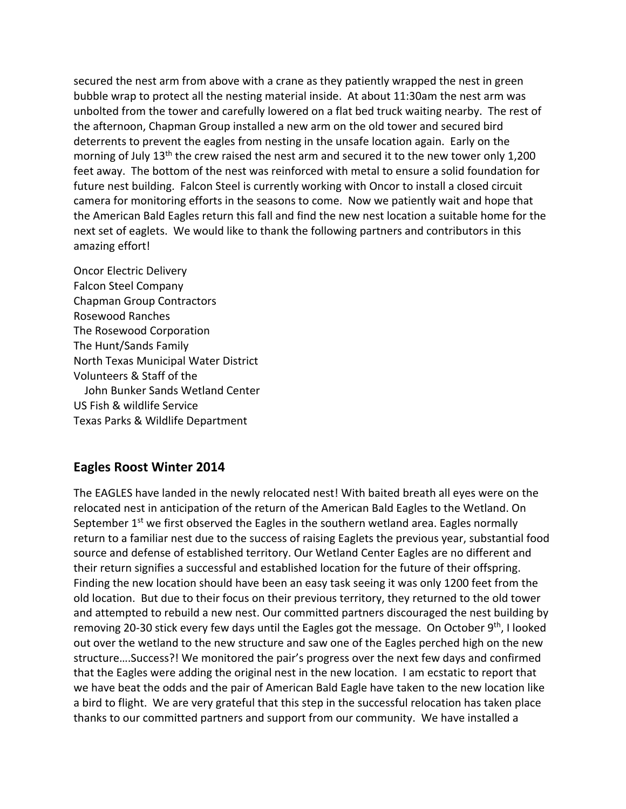secured the nest arm from above with a crane as they patiently wrapped the nest in green bubble wrap to protect all the nesting material inside. At about 11:30am the nest arm was unbolted from the tower and carefully lowered on a flat bed truck waiting nearby. The rest of the afternoon, Chapman Group installed a new arm on the old tower and secured bird deterrents to prevent the eagles from nesting in the unsafe location again. Early on the morning of July 13<sup>th</sup> the crew raised the nest arm and secured it to the new tower only 1,200 feet away. The bottom of the nest was reinforced with metal to ensure a solid foundation for future nest building. Falcon Steel is currently working with Oncor to install a closed circuit camera for monitoring efforts in the seasons to come. Now we patiently wait and hope that the American Bald Eagles return this fall and find the new nest location a suitable home for the next set of eaglets. We would like to thank the following partners and contributors in this amazing effort!

Oncor Electric Delivery Falcon Steel Company Chapman Group Contractors Rosewood Ranches The Rosewood Corporation The Hunt/Sands Family North Texas Municipal Water District Volunteers & Staff of the John Bunker Sands Wetland Center US Fish & wildlife Service Texas Parks & Wildlife Department

### **Eagles Roost Winter 2014**

The EAGLES have landed in the newly relocated nest! With baited breath all eyes were on the relocated nest in anticipation of the return of the American Bald Eagles to the Wetland. On September  $1<sup>st</sup>$  we first observed the Eagles in the southern wetland area. Eagles normally return to a familiar nest due to the success of raising Eaglets the previous year, substantial food source and defense of established territory. Our Wetland Center Eagles are no different and their return signifies a successful and established location for the future of their offspring. Finding the new location should have been an easy task seeing it was only 1200 feet from the old location. But due to their focus on their previous territory, they returned to the old tower and attempted to rebuild a new nest. Our committed partners discouraged the nest building by removing 20-30 stick every few days until the Eagles got the message. On October  $9<sup>th</sup>$ , I looked out over the wetland to the new structure and saw one of the Eagles perched high on the new structure….Success?! We monitored the pair's progress over the next few days and confirmed that the Eagles were adding the original nest in the new location. I am ecstatic to report that we have beat the odds and the pair of American Bald Eagle have taken to the new location like a bird to flight. We are very grateful that this step in the successful relocation has taken place thanks to our committed partners and support from our community. We have installed a